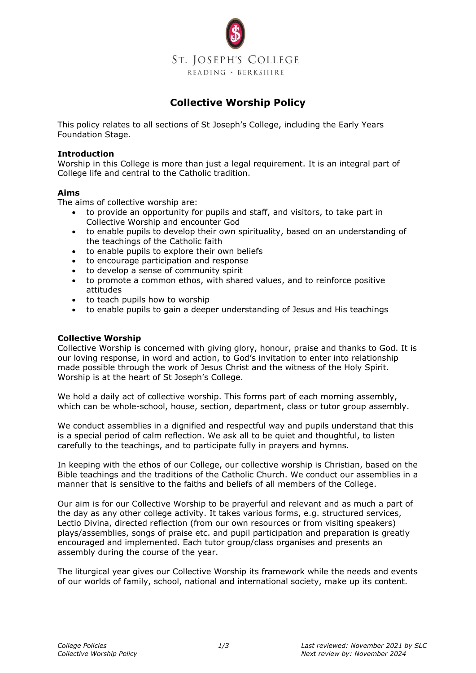

# **Collective Worship Policy**

This policy relates to all sections of St Joseph's College, including the Early Years Foundation Stage.

# **Introduction**

Worship in this College is more than just a legal requirement. It is an integral part of College life and central to the Catholic tradition.

#### **Aims**

The aims of collective worship are:

- to provide an opportunity for pupils and staff, and visitors, to take part in Collective Worship and encounter God
- to enable pupils to develop their own spirituality, based on an understanding of the teachings of the Catholic faith
- to enable pupils to explore their own beliefs
- to encourage participation and response
- to develop a sense of community spirit
- to promote a common ethos, with shared values, and to reinforce positive attitudes
- to teach pupils how to worship
- to enable pupils to gain a deeper understanding of Jesus and His teachings

# **Collective Worship**

Collective Worship is concerned with giving glory, honour, praise and thanks to God. It is our loving response, in word and action, to God's invitation to enter into relationship made possible through the work of Jesus Christ and the witness of the Holy Spirit. Worship is at the heart of St Joseph's College.

We hold a daily act of collective worship. This forms part of each morning assembly, which can be whole-school, house, section, department, class or tutor group assembly.

We conduct assemblies in a dignified and respectful way and pupils understand that this is a special period of calm reflection. We ask all to be quiet and thoughtful, to listen carefully to the teachings, and to participate fully in prayers and hymns.

In keeping with the ethos of our College, our collective worship is Christian, based on the Bible teachings and the traditions of the Catholic Church. We conduct our assemblies in a manner that is sensitive to the faiths and beliefs of all members of the College.

Our aim is for our Collective Worship to be prayerful and relevant and as much a part of the day as any other college activity. It takes various forms, e.g. structured services, Lectio Divina, directed reflection (from our own resources or from visiting speakers) plays/assemblies, songs of praise etc. and pupil participation and preparation is greatly encouraged and implemented. Each tutor group/class organises and presents an assembly during the course of the year.

The liturgical year gives our Collective Worship its framework while the needs and events of our worlds of family, school, national and international society, make up its content.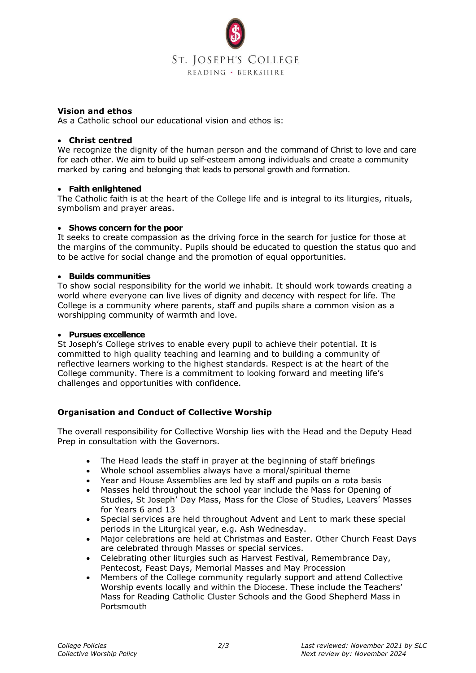

#### **Vision and ethos**

As a Catholic school our educational vision and ethos is:

#### • **Christ centred**

We recognize the dignity of the human person and the command of Christ to love and care for each other. We aim to build up self-esteem among individuals and create a community marked by caring and belonging that leads to personal growth and formation.

#### • **Faith enlightened**

The Catholic faith is at the heart of the College life and is integral to its liturgies, rituals, symbolism and prayer areas.

#### • **Shows concern for the poor**

It seeks to create compassion as the driving force in the search for justice for those at the margins of the community. Pupils should be educated to question the status quo and to be active for social change and the promotion of equal opportunities.

# • **Builds communities**

To show social responsibility for the world we inhabit. It should work towards creating a world where everyone can live lives of dignity and decency with respect for life. The College is a community where parents, staff and pupils share a common vision as a worshipping community of warmth and love.

#### • **Pursues excellence**

St Joseph's College strives to enable every pupil to achieve their potential. It is committed to high quality teaching and learning and to building a community of reflective learners working to the highest standards. Respect is at the heart of the College community. There is a commitment to looking forward and meeting life's challenges and opportunities with confidence.

# **Organisation and Conduct of Collective Worship**

The overall responsibility for Collective Worship lies with the Head and the Deputy Head Prep in consultation with the Governors.

- The Head leads the staff in prayer at the beginning of staff briefings
- Whole school assemblies always have a moral/spiritual theme
- Year and House Assemblies are led by staff and pupils on a rota basis
- Masses held throughout the school year include the Mass for Opening of Studies, St Joseph' Day Mass, Mass for the Close of Studies, Leavers' Masses for Years 6 and 13
- Special services are held throughout Advent and Lent to mark these special periods in the Liturgical year, e.g. Ash Wednesday.
- Major celebrations are held at Christmas and Easter. Other Church Feast Days are celebrated through Masses or special services.
- Celebrating other liturgies such as Harvest Festival, Remembrance Day, Pentecost, Feast Days, Memorial Masses and May Procession
- Members of the College community regularly support and attend Collective Worship events locally and within the Diocese. These include the Teachers' Mass for Reading Catholic Cluster Schools and the Good Shepherd Mass in **Portsmouth**